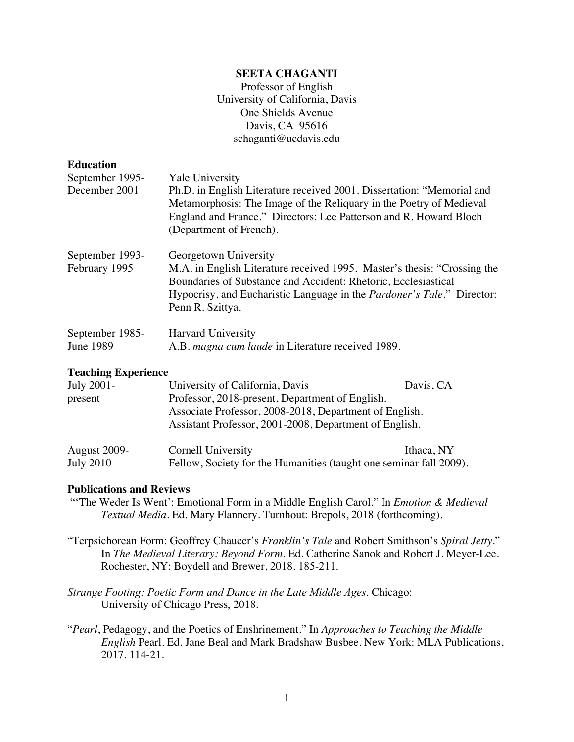## **SEETA CHAGANTI**

Professor of English University of California, Davis One Shields Avenue Davis, CA 95616 schaganti@ucdavis.edu

#### **Education**

| September 1995-                  | <b>Yale University</b>                                                                                                                                                                                                                                                    |
|----------------------------------|---------------------------------------------------------------------------------------------------------------------------------------------------------------------------------------------------------------------------------------------------------------------------|
| December 2001                    | Ph.D. in English Literature received 2001. Dissertation: "Memorial and<br>Metamorphosis: The Image of the Reliquary in the Poetry of Medieval<br>England and France." Directors: Lee Patterson and R. Howard Bloch<br>(Department of French).                             |
| September 1993-<br>February 1995 | Georgetown University<br>M.A. in English Literature received 1995. Master's thesis: "Crossing the<br>Boundaries of Substance and Accident: Rhetoric, Ecclesiastical<br>Hypocrisy, and Eucharistic Language in the <i>Pardoner's Tale</i> ." Director:<br>Penn R. Szittya. |
| September 1985-<br>June 1989     | <b>Harvard University</b><br>A.B. magna cum laude in Literature received 1989.                                                                                                                                                                                            |

# **Teaching Experience**

| July 2001-          | University of California, Davis                        | Davis, CA  |
|---------------------|--------------------------------------------------------|------------|
| present             | Professor, 2018-present, Department of English.        |            |
|                     | Associate Professor, 2008-2018, Department of English. |            |
|                     | Assistant Professor, 2001-2008, Department of English. |            |
| <b>August 2009-</b> | Cornell University                                     | Ithaca, NY |

# July 2010 Fellow, Society for the Humanities (taught one seminar fall 2009).

#### **Publications and Reviews**

- "'The Weder Is Went': Emotional Form in a Middle English Carol." In *Emotion & Medieval Textual Media*. Ed. Mary Flannery. Turnhout: Brepols, 2018 (forthcoming).
- "Terpsichorean Form: Geoffrey Chaucer's *Franklin's Tale* and Robert Smithson's *Spiral Jetty*." In *The Medieval Literary: Beyond Form*. Ed. Catherine Sanok and Robert J. Meyer-Lee. Rochester, NY: Boydell and Brewer, 2018. 185-211.
- *Strange Footing: Poetic Form and Dance in the Late Middle Ages*. Chicago: University of Chicago Press, 2018.
- "*Pearl*, Pedagogy, and the Poetics of Enshrinement." In *Approaches to Teaching the Middle English* Pearl. Ed. Jane Beal and Mark Bradshaw Busbee. New York: MLA Publications, 2017. 114-21.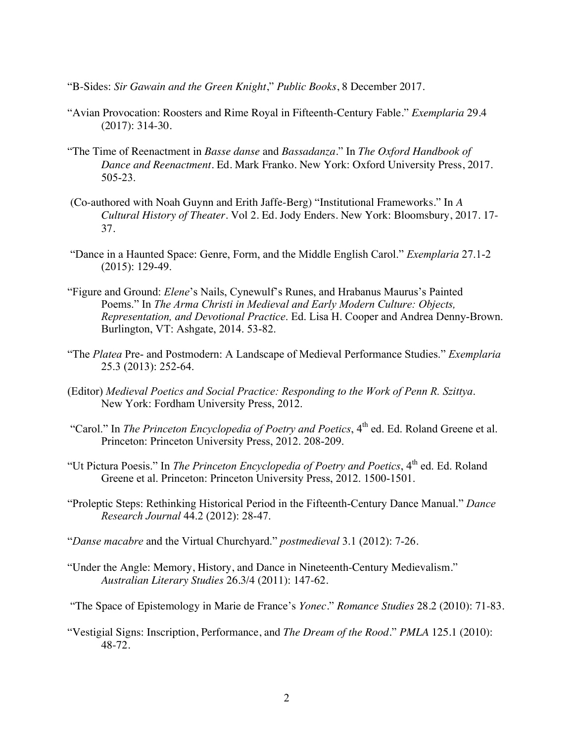- "B-Sides: *Sir Gawain and the Green Knight*," *Public Books*, 8 December 2017.
- "Avian Provocation: Roosters and Rime Royal in Fifteenth-Century Fable." *Exemplaria* 29.4 (2017): 314-30.
- "The Time of Reenactment in *Basse danse* and *Bassadanza*." In *The Oxford Handbook of Dance and Reenactment*. Ed. Mark Franko. New York: Oxford University Press, 2017. 505-23.
- (Co-authored with Noah Guynn and Erith Jaffe-Berg) "Institutional Frameworks." In *A Cultural History of Theater*. Vol 2. Ed. Jody Enders. New York: Bloomsbury, 2017. 17- 37.
- "Dance in a Haunted Space: Genre, Form, and the Middle English Carol." *Exemplaria* 27.1-2 (2015): 129-49.
- "Figure and Ground: *Elene*'s Nails, Cynewulf's Runes, and Hrabanus Maurus's Painted Poems." In *The Arma Christi in Medieval and Early Modern Culture: Objects, Representation, and Devotional Practice*. Ed. Lisa H. Cooper and Andrea Denny-Brown. Burlington, VT: Ashgate, 2014. 53-82.
- "The *Platea* Pre- and Postmodern: A Landscape of Medieval Performance Studies." *Exemplaria* 25.3 (2013): 252-64.
- (Editor) *Medieval Poetics and Social Practice: Responding to the Work of Penn R. Szittya*. New York: Fordham University Press, 2012.
- "Carol." In *The Princeton Encyclopedia of Poetry and Poetics*, 4<sup>th</sup> ed. Ed. Roland Greene et al. Princeton: Princeton University Press, 2012. 208-209.
- "Ut Pictura Poesis." In *The Princeton Encyclopedia of Poetry and Poetics*, 4<sup>th</sup> ed. Ed. Roland Greene et al. Princeton: Princeton University Press, 2012. 1500-1501.
- "Proleptic Steps: Rethinking Historical Period in the Fifteenth-Century Dance Manual." *Dance Research Journal* 44.2 (2012): 28-47.
- "*Danse macabre* and the Virtual Churchyard." *postmedieval* 3.1 (2012): 7-26.
- "Under the Angle: Memory, History, and Dance in Nineteenth-Century Medievalism." *Australian Literary Studies* 26.3/4 (2011): 147-62.

"The Space of Epistemology in Marie de France's *Yonec*." *Romance Studies* 28.2 (2010): 71-83.

"Vestigial Signs: Inscription, Performance, and *The Dream of the Rood*." *PMLA* 125.1 (2010): 48-72.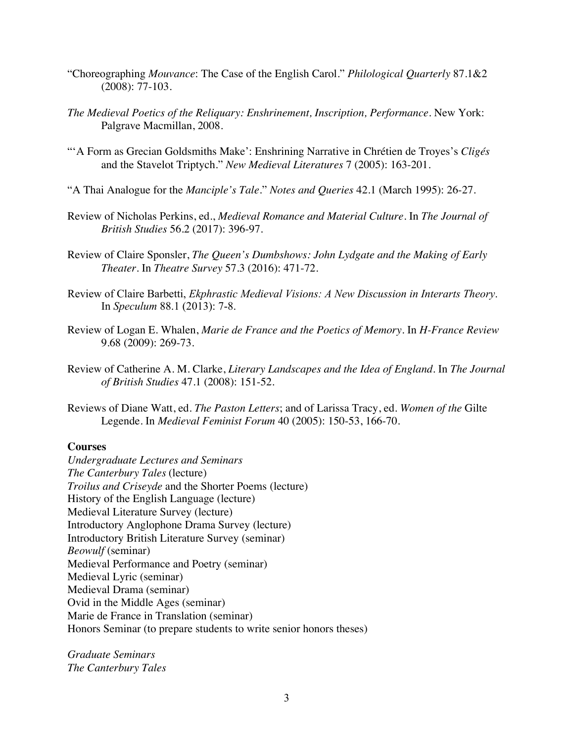- "Choreographing *Mouvance*: The Case of the English Carol." *Philological Quarterly* 87.1&2 (2008): 77-103.
- *The Medieval Poetics of the Reliquary: Enshrinement, Inscription, Performance*. New York: Palgrave Macmillan, 2008.
- "'A Form as Grecian Goldsmiths Make': Enshrining Narrative in Chrétien de Troyes's *Cligés* and the Stavelot Triptych." *New Medieval Literatures* 7 (2005): 163-201.
- "A Thai Analogue for the *Manciple's Tale*." *Notes and Queries* 42.1 (March 1995): 26-27.
- Review of Nicholas Perkins, ed., *Medieval Romance and Material Culture*. In *The Journal of British Studies* 56.2 (2017): 396-97.
- Review of Claire Sponsler, *The Queen's Dumbshows: John Lydgate and the Making of Early Theater*. In *Theatre Survey* 57.3 (2016): 471-72.
- Review of Claire Barbetti, *Ekphrastic Medieval Visions: A New Discussion in Interarts Theory*. In *Speculum* 88.1 (2013): 7-8.
- Review of Logan E. Whalen, *Marie de France and the Poetics of Memory*. In *H-France Review* 9.68 (2009): 269-73.
- Review of Catherine A. M. Clarke, *Literary Landscapes and the Idea of England*. In *The Journal of British Studies* 47.1 (2008): 151-52.
- Reviews of Diane Watt, ed. *The Paston Letters*; and of Larissa Tracy, ed. *Women of the* Gilte Legende. In *Medieval Feminist Forum* 40 (2005): 150-53, 166-70.

## **Courses**

*Undergraduate Lectures and Seminars The Canterbury Tales* (lecture) *Troilus and Criseyde* and the Shorter Poems (lecture) History of the English Language (lecture) Medieval Literature Survey (lecture) Introductory Anglophone Drama Survey (lecture) Introductory British Literature Survey (seminar) *Beowulf* (seminar) Medieval Performance and Poetry (seminar) Medieval Lyric (seminar) Medieval Drama (seminar) Ovid in the Middle Ages (seminar) Marie de France in Translation (seminar) Honors Seminar (to prepare students to write senior honors theses)

*Graduate Seminars The Canterbury Tales*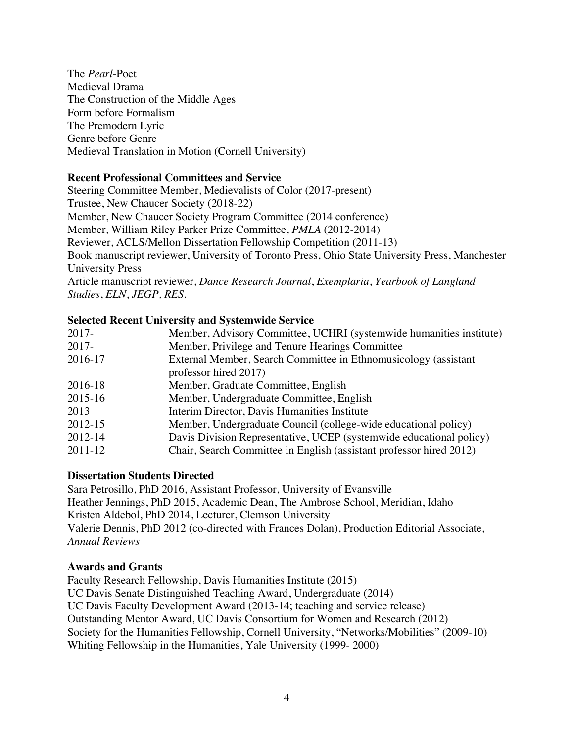The *Pearl*-Poet Medieval Drama The Construction of the Middle Ages Form before Formalism The Premodern Lyric Genre before Genre Medieval Translation in Motion (Cornell University)

## **Recent Professional Committees and Service**

Steering Committee Member, Medievalists of Color (2017-present) Trustee, New Chaucer Society (2018-22) Member, New Chaucer Society Program Committee (2014 conference) Member, William Riley Parker Prize Committee, *PMLA* (2012-2014) Reviewer, ACLS/Mellon Dissertation Fellowship Competition (2011-13) Book manuscript reviewer, University of Toronto Press, Ohio State University Press, Manchester University Press

Article manuscript reviewer, *Dance Research Journal*, *Exemplaria*, *Yearbook of Langland Studies*, *ELN*, *JEGP, RES.*

# **Selected Recent University and Systemwide Service**

| Member, Advisory Committee, UCHRI (systemwide humanities institute) |
|---------------------------------------------------------------------|
|                                                                     |
|                                                                     |
| External Member, Search Committee in Ethnomusicology (assistant     |
|                                                                     |
|                                                                     |
|                                                                     |
|                                                                     |
| Member, Undergraduate Council (college-wide educational policy)     |
| Davis Division Representative, UCEP (systemwide educational policy) |
| Chair, Search Committee in English (assistant professor hired 2012) |
|                                                                     |

## **Dissertation Students Directed**

Sara Petrosillo, PhD 2016, Assistant Professor, University of Evansville Heather Jennings, PhD 2015, Academic Dean, The Ambrose School, Meridian, Idaho Kristen Aldebol, PhD 2014, Lecturer, Clemson University Valerie Dennis, PhD 2012 (co-directed with Frances Dolan), Production Editorial Associate, *Annual Reviews*

## **Awards and Grants**

Faculty Research Fellowship, Davis Humanities Institute (2015) UC Davis Senate Distinguished Teaching Award, Undergraduate (2014) UC Davis Faculty Development Award (2013-14; teaching and service release) Outstanding Mentor Award, UC Davis Consortium for Women and Research (2012) Society for the Humanities Fellowship, Cornell University, "Networks/Mobilities" (2009-10) Whiting Fellowship in the Humanities, Yale University (1999- 2000)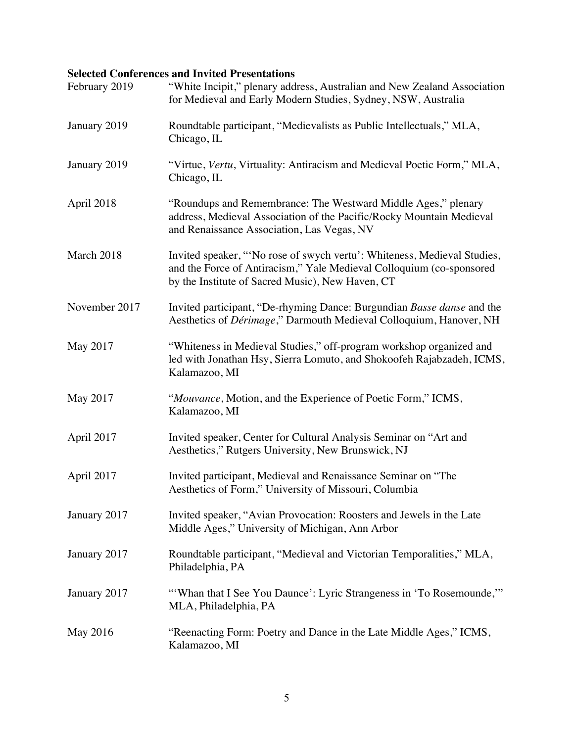# **Selected Conferences and Invited Presentations**

| February 2019 | "White Incipit," plenary address, Australian and New Zealand Association<br>for Medieval and Early Modern Studies, Sydney, NSW, Australia                                                           |
|---------------|-----------------------------------------------------------------------------------------------------------------------------------------------------------------------------------------------------|
| January 2019  | Roundtable participant, "Medievalists as Public Intellectuals," MLA,<br>Chicago, IL                                                                                                                 |
| January 2019  | "Virtue, Vertu, Virtuality: Antiracism and Medieval Poetic Form," MLA,<br>Chicago, IL                                                                                                               |
| April 2018    | "Roundups and Remembrance: The Westward Middle Ages," plenary<br>address, Medieval Association of the Pacific/Rocky Mountain Medieval<br>and Renaissance Association, Las Vegas, NV                 |
| March 2018    | Invited speaker, "No rose of swych vertu': Whiteness, Medieval Studies,<br>and the Force of Antiracism," Yale Medieval Colloquium (co-sponsored<br>by the Institute of Sacred Music), New Haven, CT |
| November 2017 | Invited participant, "De-rhyming Dance: Burgundian Basse danse and the<br>Aesthetics of Dérimage," Darmouth Medieval Colloquium, Hanover, NH                                                        |
| May 2017      | "Whiteness in Medieval Studies," off-program workshop organized and<br>led with Jonathan Hsy, Sierra Lomuto, and Shokoofeh Rajabzadeh, ICMS,<br>Kalamazoo, MI                                       |
| May 2017      | "Mouvance, Motion, and the Experience of Poetic Form," ICMS,<br>Kalamazoo, MI                                                                                                                       |
| April 2017    | Invited speaker, Center for Cultural Analysis Seminar on "Art and<br>Aesthetics," Rutgers University, New Brunswick, NJ                                                                             |
| April 2017    | Invited participant, Medieval and Renaissance Seminar on "The<br>Aesthetics of Form," University of Missouri, Columbia                                                                              |
| January 2017  | Invited speaker, "Avian Provocation: Roosters and Jewels in the Late<br>Middle Ages," University of Michigan, Ann Arbor                                                                             |
| January 2017  | Roundtable participant, "Medieval and Victorian Temporalities," MLA,<br>Philadelphia, PA                                                                                                            |
| January 2017  | "'Whan that I See You Daunce': Lyric Strangeness in 'To Rosemounde,""<br>MLA, Philadelphia, PA                                                                                                      |
| May 2016      | "Reenacting Form: Poetry and Dance in the Late Middle Ages," ICMS,<br>Kalamazoo, MI                                                                                                                 |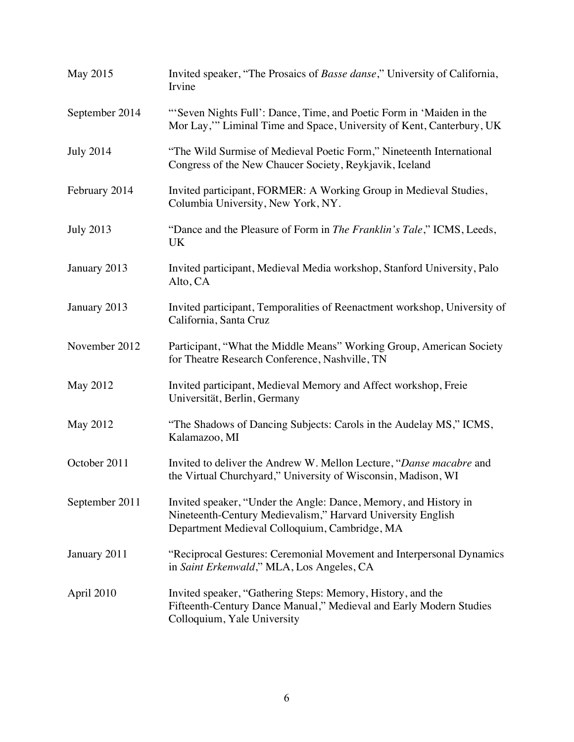| May 2015         | Invited speaker, "The Prosaics of Basse danse," University of California,<br>Irvine                                                                                              |
|------------------|----------------------------------------------------------------------------------------------------------------------------------------------------------------------------------|
| September 2014   | "Seven Nights Full': Dance, Time, and Poetic Form in 'Maiden in the<br>Mor Lay," Liminal Time and Space, University of Kent, Canterbury, UK                                      |
| <b>July 2014</b> | "The Wild Surmise of Medieval Poetic Form," Nineteenth International<br>Congress of the New Chaucer Society, Reykjavik, Iceland                                                  |
| February 2014    | Invited participant, FORMER: A Working Group in Medieval Studies,<br>Columbia University, New York, NY.                                                                          |
| <b>July 2013</b> | "Dance and the Pleasure of Form in <i>The Franklin's Tale</i> ," ICMS, Leeds,<br><b>UK</b>                                                                                       |
| January 2013     | Invited participant, Medieval Media workshop, Stanford University, Palo<br>Alto, CA                                                                                              |
| January 2013     | Invited participant, Temporalities of Reenactment workshop, University of<br>California, Santa Cruz                                                                              |
| November 2012    | Participant, "What the Middle Means" Working Group, American Society<br>for Theatre Research Conference, Nashville, TN                                                           |
| May 2012         | Invited participant, Medieval Memory and Affect workshop, Freie<br>Universität, Berlin, Germany                                                                                  |
| May 2012         | "The Shadows of Dancing Subjects: Carols in the Audelay MS," ICMS,<br>Kalamazoo, MI                                                                                              |
| October 2011     | Invited to deliver the Andrew W. Mellon Lecture, "Danse macabre and<br>the Virtual Churchyard," University of Wisconsin, Madison, WI                                             |
| September 2011   | Invited speaker, "Under the Angle: Dance, Memory, and History in<br>Nineteenth-Century Medievalism," Harvard University English<br>Department Medieval Colloquium, Cambridge, MA |
| January 2011     | "Reciprocal Gestures: Ceremonial Movement and Interpersonal Dynamics<br>in Saint Erkenwald," MLA, Los Angeles, CA                                                                |
| April 2010       | Invited speaker, "Gathering Steps: Memory, History, and the<br>Fifteenth-Century Dance Manual," Medieval and Early Modern Studies<br>Colloquium, Yale University                 |